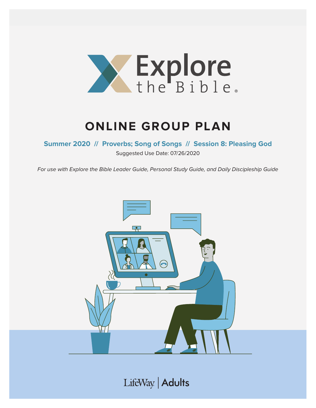

# **ONLINE GROUP PLAN**

### **Summer 2020 // Proverbs; Song of Songs // Session 8: Pleasing God**

Suggested Use Date: 07/26/2020

For use with Explore the Bible Leader Guide, Personal Study Guide, and Daily Discipleship Guide



LifeWay | Adults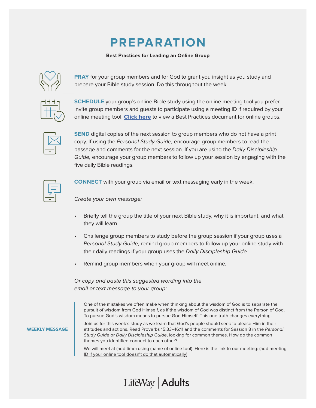## **PREPARATION**

#### **Best Practices for Leading an Online Group**



**PRAY** for your group members and for God to grant you insight as you study and prepare your Bible study session. Do this throughout the week.

**SCHEDULE** your group's online Bible study using the online meeting tool you prefer Invite group members and guests to participate using a meeting ID if required by your online meeting tool. **[Click here](https://s3.amazonaws.com/LWbranding/bsfl2019/2020/04/Online_Bible_Study_Best_Practices.pdf)** to view a Best Practices document for online groups.



**SEND** digital copies of the next session to group members who do not have a print copy. If using the Personal Study Guide, encourage group members to read the passage and comments for the next session. If you are using the Daily Discipleship Guide, encourage your group members to follow up your session by engaging with the five daily Bible readings.



**CONNECT** with your group via email or text messaging early in the week.

Create your own message:

- Briefly tell the group the title of your next Bible study, why it is important, and what they will learn.
- Challenge group members to study before the group session if your group uses a Personal Study Guide; remind group members to follow up your online study with their daily readings if your group uses the Daily Discipleship Guide.
- Remind group members when your group will meet online.

Or copy and paste this suggested wording into the email or text message to your group:

One of the mistakes we often make when thinking about the wisdom of God is to separate the pursuit of wisdom from God Himself, as if the wisdom of God was distinct from the Person of God. To pursue God's wisdom means to pursue God Himself. This one truth changes everything.

**WEEKLY MESSAGE**

Join us for this week's study as we learn that God's people should seek to please Him in their attitudes and actions. Read Proverbs 15:33–16:11 and the comments for Session 8 in the Personal Study Guide or Daily Discipleship Guide, looking for common themes. How do the common themes you identified connect to each other?

We will meet at (add time) using (name of online tool). Here is the link to our meeting: (add meeting ID if your online tool doesn't do that automatically)

## LifeWay | Adults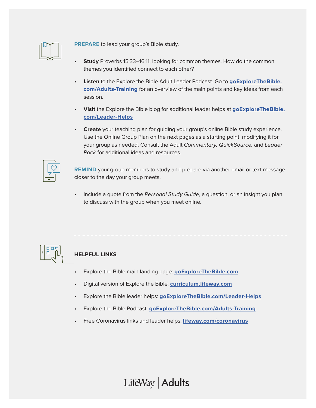

**PREPARE** to lead your group's Bible study.

- **Study** Proverbs 15:33–16:11, looking for common themes. How do the common themes you identified connect to each other?
- **Listen** to the Explore the Bible Adult Leader Podcast. Go to **[goExploreTheBible.](https://goexplorethebible.com/adults-training/) [com/Adults-Training](https://goexplorethebible.com/adults-training/)** for an overview of the main points and key ideas from each session.
- **Visit** the Explore the Bible blog for additional leader helps at **[goExploreTheBible.](https://goexplorethebible.com/blog/) [com/L](https://goexplorethebible.com/blog/)eader-Helps**
- **Create** your teaching plan for guiding your group's online Bible study experience. Use the Online Group Plan on the next pages as a starting point, modifying it for your group as needed. Consult the Adult Commentary, QuickSource, and Leader Pack for additional ideas and resources.

**REMIND** your group members to study and prepare via another email or text message closer to the day your group meets.

Include a quote from the Personal Study Guide, a question, or an insight you plan to discuss with the group when you meet online.



### **HELPFUL LINKS**

- Explore the Bible main landing page: **[goExploreTheBible.com](https://goexplorethebible.com/)**
- Digital version of Explore the Bible: **[curriculum.lifeway.com](https://curriculum.lifeway.com/#/)**
- Explore the Bible leader helps: **[goExploreTheBible.com/L](https://goexplorethebible.com/blog/)eader-Helps**
- Explore the Bible Podcast: **[goExploreTheBible.com/Adults-Training](https://goexplorethebible.com/adults-training/)**
- Free Coronavirus links and leader helps: **[lifeway.com/coronavirus](https://www.lifeway.com/coronavirus)**

LifeWay | Adults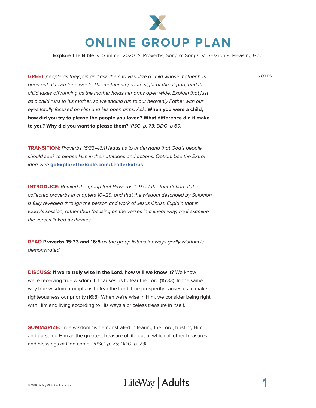

**Explore the Bible** // Summer 2020 // Proverbs; Song of Songs // Session 8: Pleasing God

**GREET** people as they join and ask them to visualize a child whose mother has NOTES been out of town for a week. The mother steps into sight at the airport, and the child takes off running as the mother holds her arms open wide. Explain that just as a child runs to his mother, so we should run to our heavenly Father with our eyes totally focused on Him and His open arms. Ask: **When you were a child, how did you try to please the people you loved? What difference did it make to you? Why did you want to please them?** (PSG, p. 73; DDG, p 69)

**TRANSITION:** Proverbs 15:33–16:11 leads us to understand that God's people should seek to please Him in their attitudes and actions. Option: Use the Extra! idea. See **[goExploreTheBible.com/LeaderExtras](https://goexplorethebible.com/leaderextras/)**

**INTRODUCE:** Remind the group that Proverbs 1–9 set the foundation of the collected proverbs in chapters 10–29, and that the wisdom described by Solomon is fully revealed through the person and work of Jesus Christ. Explain that in today's session, rather than focusing on the verses in a linear way, we'll examine the verses linked by themes.

**READ Proverbs 15:33 and 16:8** as the group listens for ways godly wisdom is demonstrated.

**DISCUSS: If we're truly wise in the Lord, how will we know it?** We know we're receiving true wisdom if it causes us to fear the Lord (15:33). In the same way true wisdom prompts us to fear the Lord, true prosperity causes us to make righteousness our priority (16:8). When we're wise in Him, we consider being right with Him and living according to His ways a priceless treasure in itself.

**SUMMARIZE:** True wisdom "is demonstrated in fearing the Lord, trusting Him, and pursuing Him as the greatest treasure of life out of which all other treasures and blessings of God come." (PSG, p. 75; DDG, p. 73)

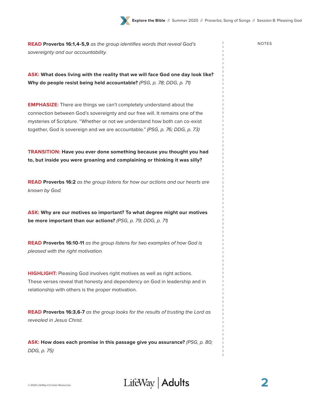**READ Proverbs 16:1,4-5,9** as the group identifies words that reveal God's NOTES sovereignty and our accountability.

**ASK: What does living with the reality that we will face God one day look like? Why do people resist being held accountable?** (PSG, p. 78; DDG, p. 71)

**EMPHASIZE:** There are things we can't completely understand about the connection between God's sovereignty and our free will. It remains one of the mysteries of Scripture. "Whether or not we understand how both can co-exist together, God is sovereign and we are accountable." (PSG, p. 76; DDG, p. 73)

**TRANSITION: Have you ever done something because you thought you had to, but inside you were groaning and complaining or thinking it was silly?**

**READ Proverbs 16:2** as the group listens for how our actions and our hearts are known by God.

**ASK: Why are our motives so important? To what degree might our motives be more important than our actions?** (PSG, p. 79; DDG, p. 71)

**READ Proverbs 16:10-11** as the group listens for two examples of how God is pleased with the right motivation.

**HIGHLIGHT:** Pleasing God involves right motives as well as right actions. These verses reveal that honesty and dependency on God in leadership and in relationship with others is the proper motivation.

**READ Proverbs 16:3,6-7** as the group looks for the results of trusting the Lord as revealed in Jesus Christ.

**ASK: How does each promise in this passage give you assurance?** (PSG, p. 80; DDG, p. 75)



**2**